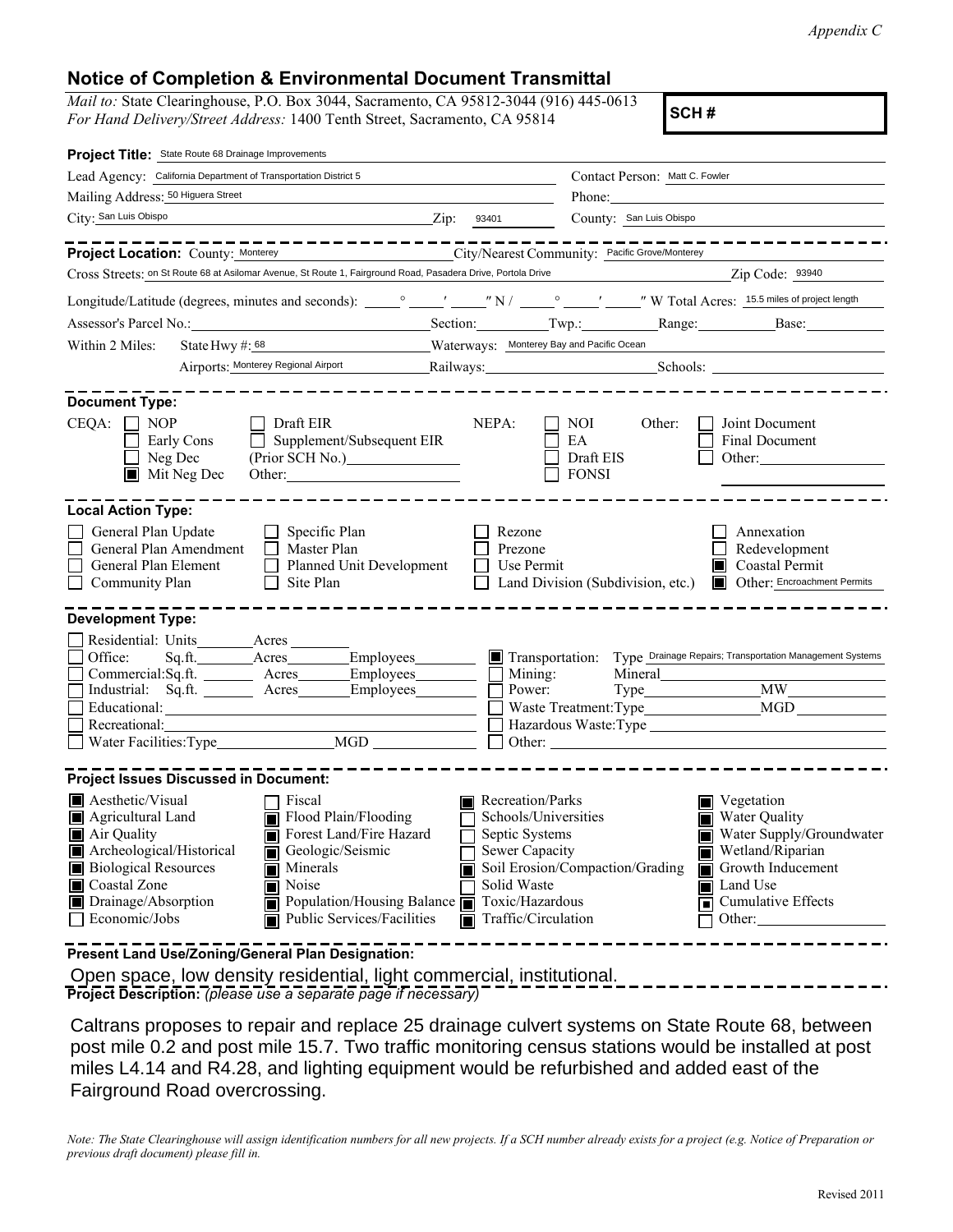*Appendix C*

## **Notice of Completion & Environmental Document Transmittal**

*Mail to:* State Clearinghouse, P.O. Box 3044, Sacramento, CA 95812-3044 (916) 445-0613 *For Hand Delivery/Street Address:* 1400 Tenth Street, Sacramento, CA 95814 **SCH #** 

| Project Title: State Route 68 Drainage Improvements                                                                                                                                                                                                                                                                                                                                                                       |                           |                                                                                                                |                                                                                                                                                                                                                 |                                                                                                    |                                           |                                                                                                                                                                                                                     |                                                                                                |  |
|---------------------------------------------------------------------------------------------------------------------------------------------------------------------------------------------------------------------------------------------------------------------------------------------------------------------------------------------------------------------------------------------------------------------------|---------------------------|----------------------------------------------------------------------------------------------------------------|-----------------------------------------------------------------------------------------------------------------------------------------------------------------------------------------------------------------|----------------------------------------------------------------------------------------------------|-------------------------------------------|---------------------------------------------------------------------------------------------------------------------------------------------------------------------------------------------------------------------|------------------------------------------------------------------------------------------------|--|
| Lead Agency: California Department of Transportation District 5                                                                                                                                                                                                                                                                                                                                                           |                           |                                                                                                                |                                                                                                                                                                                                                 |                                                                                                    |                                           | Contact Person: Matt C. Fowler                                                                                                                                                                                      |                                                                                                |  |
| Mailing Address: 50 Higuera Street                                                                                                                                                                                                                                                                                                                                                                                        |                           |                                                                                                                |                                                                                                                                                                                                                 |                                                                                                    |                                           | Phone:                                                                                                                                                                                                              |                                                                                                |  |
| City: San Luis Obispo                                                                                                                                                                                                                                                                                                                                                                                                     |                           |                                                                                                                | $\frac{2}{\mathrm{ip}}$ : 93401                                                                                                                                                                                 |                                                                                                    |                                           | County: San Luis Obispo                                                                                                                                                                                             |                                                                                                |  |
|                                                                                                                                                                                                                                                                                                                                                                                                                           |                           |                                                                                                                | . <u>.</u><br>Project Location: County: Monterey City/Nearest Community: Pacific Grove/Monterey<br>Cross Streets: on St Route 68 at Asilomar Avenue, St Route 1, Fairground Road, Pasadera Drive, Portola Drive |                                                                                                    |                                           | <u> 1990 - Jan James Barnett, politik e</u> ta p                                                                                                                                                                    | Zip Code: 93940                                                                                |  |
|                                                                                                                                                                                                                                                                                                                                                                                                                           |                           |                                                                                                                |                                                                                                                                                                                                                 |                                                                                                    |                                           |                                                                                                                                                                                                                     |                                                                                                |  |
|                                                                                                                                                                                                                                                                                                                                                                                                                           |                           |                                                                                                                |                                                                                                                                                                                                                 |                                                                                                    |                                           |                                                                                                                                                                                                                     |                                                                                                |  |
| Assessor's Parcel No.: Section: Section: Twp.: Range: Base: Base:                                                                                                                                                                                                                                                                                                                                                         |                           |                                                                                                                |                                                                                                                                                                                                                 |                                                                                                    |                                           |                                                                                                                                                                                                                     |                                                                                                |  |
| Within 2 Miles:<br>State Hwy $\#$ : 68                                                                                                                                                                                                                                                                                                                                                                                    |                           |                                                                                                                |                                                                                                                                                                                                                 |                                                                                                    | Materways: Monterey Bay and Pacific Ocean |                                                                                                                                                                                                                     |                                                                                                |  |
|                                                                                                                                                                                                                                                                                                                                                                                                                           |                           | Airports: Monterey Regional Airport Railways: Railways: Schools: 2001 Schools: 2001 Schools: 2001 Schools: 200 |                                                                                                                                                                                                                 |                                                                                                    |                                           |                                                                                                                                                                                                                     |                                                                                                |  |
| <b>Document Type:</b><br>$\Box$ NOP<br>CEOA:<br>$\Box$ Neg Dec                                                                                                                                                                                                                                                                                                                                                            | Early Cons<br>Mit Neg Dec | Draft EIR<br>$\mathsf{L}$                                                                                      | Supplement/Subsequent EIR<br>Other:                                                                                                                                                                             | NEPA:                                                                                              | NOI -<br>EA<br>Draft EIS<br><b>FONSI</b>  | Other:                                                                                                                                                                                                              | Joint Document<br>Final Document<br>Other:                                                     |  |
| <b>Local Action Type:</b>                                                                                                                                                                                                                                                                                                                                                                                                 |                           |                                                                                                                |                                                                                                                                                                                                                 |                                                                                                    |                                           |                                                                                                                                                                                                                     |                                                                                                |  |
| General Plan Update<br>$\Box$ Specific Plan<br>General Plan Amendment<br>Master Plan<br>Planned Unit Development<br>General Plan Element<br>$\Box$<br>Site Plan<br>Community Plan<br>$\perp$                                                                                                                                                                                                                              |                           |                                                                                                                |                                                                                                                                                                                                                 | Rezone<br>Prezone<br>Use Permit                                                                    | Land Division (Subdivision, etc.)         |                                                                                                                                                                                                                     | Annexation<br>Redevelopment<br>Coastal Permit<br>Other: Encroachment Permits<br>$\blacksquare$ |  |
| <b>Development Type:</b>                                                                                                                                                                                                                                                                                                                                                                                                  |                           |                                                                                                                |                                                                                                                                                                                                                 |                                                                                                    |                                           |                                                                                                                                                                                                                     |                                                                                                |  |
| Residential: Units_________Acres_<br>Office:<br>Recreational:                                                                                                                                                                                                                                                                                                                                                             |                           |                                                                                                                | Commercial:Sq.ft. ________ Acres_______Employees________<br>Industrial: Sq.ft. ________ Acres_______Employees________<br>Water Facilities: Type MGD                                                             | Power:<br>$\Box$ Other:                                                                            | Mining:                                   |                                                                                                                                                                                                                     | Transportation: Type Drainage Repairs; Transportation Management Systems                       |  |
| <b>Project Issues Discussed in Document:</b>                                                                                                                                                                                                                                                                                                                                                                              |                           |                                                                                                                |                                                                                                                                                                                                                 |                                                                                                    |                                           |                                                                                                                                                                                                                     |                                                                                                |  |
| Aesthetic/Visual<br>Fiscal<br>m<br>Flood Plain/Flooding<br>Agricultural Land<br>Forest Land/Fire Hazard<br>Air Quality<br>П<br>Geologic/Seismic<br>Archeological/Historical<br><b>Biological Resources</b><br><b>■</b> Minerals<br>■ Coastal Zone<br>Noise<br>Population/Housing Balance $\overline{\blacksquare}$ Toxic/Hazardous<br>$\Box$ Drainage/Absorption<br>Public Services/Facilities<br>Economic/Jobs<br>$\Box$ |                           |                                                                                                                | Septic Systems<br>Sewer Capacity<br>Solid Waste                                                                                                                                                                 | Recreation/Parks<br>Schools/Universities<br>Soil Erosion/Compaction/Grading<br>Traffic/Circulation |                                           | <b>■</b> Vegetation<br>Water Quality<br>Water Supply/Groundwater<br>Wetland/Riparian<br>$\overline{\blacksquare}$ Growth Inducement<br><b>In Land Use</b><br>$\overline{\blacksquare}$ Cumulative Effects<br>Other: |                                                                                                |  |

**Present Land Use/Zoning/General Plan Designation:**

**Project Description:** *(please use a separate page if necessary)* Open space, low density residential, light commercial, institutional.

Caltrans proposes to repair and replace 25 drainage culvert systems on State Route 68, between post mile 0.2 and post mile 15.7. Two traffic monitoring census stations would be installed at post miles L4.14 and R4.28, and lighting equipment would be refurbished and added east of the Fairground Road overcrossing.

*Note: The State Clearinghouse will assign identification numbers for all new projects. If a SCH number already exists for a project (e.g. Notice of Preparation or previous draft document) please fill in.*